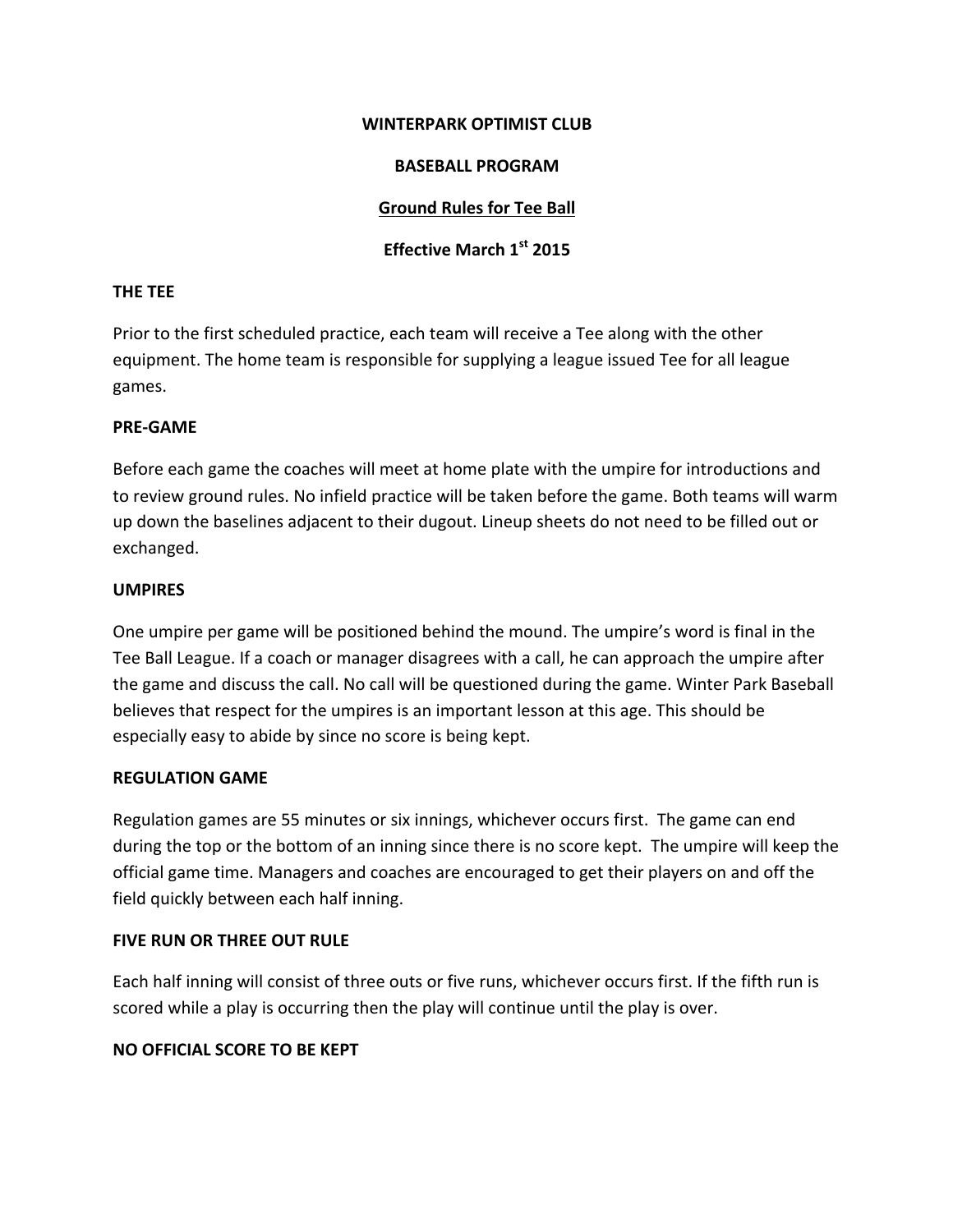#### WINTERPARK OPTIMIST CLUB

## **BASEBALL PROGRAM**

# **Ground Rules for Tee Ball**

# **Effective March 1st 2015**

## **THE TEE**

Prior to the first scheduled practice, each team will receive a Tee along with the other equipment. The home team is responsible for supplying a league issued Tee for all league games.

## **PRE-GAME**

Before each game the coaches will meet at home plate with the umpire for introductions and to review ground rules. No infield practice will be taken before the game. Both teams will warm up down the baselines adjacent to their dugout. Lineup sheets do not need to be filled out or exchanged.

## **UMPIRES**

One umpire per game will be positioned behind the mound. The umpire's word is final in the Tee Ball League. If a coach or manager disagrees with a call, he can approach the umpire after the game and discuss the call. No call will be questioned during the game. Winter Park Baseball believes that respect for the umpires is an important lesson at this age. This should be especially easy to abide by since no score is being kept.

## **REGULATION GAME**

Regulation games are 55 minutes or six innings, whichever occurs first. The game can end during the top or the bottom of an inning since there is no score kept. The umpire will keep the official game time. Managers and coaches are encouraged to get their players on and off the field quickly between each half inning.

## **FIVE RUN OR THREE OUT RULE**

Each half inning will consist of three outs or five runs, whichever occurs first. If the fifth run is scored while a play is occurring then the play will continue until the play is over.

## **NO OFFICIAL SCORE TO BE KEPT**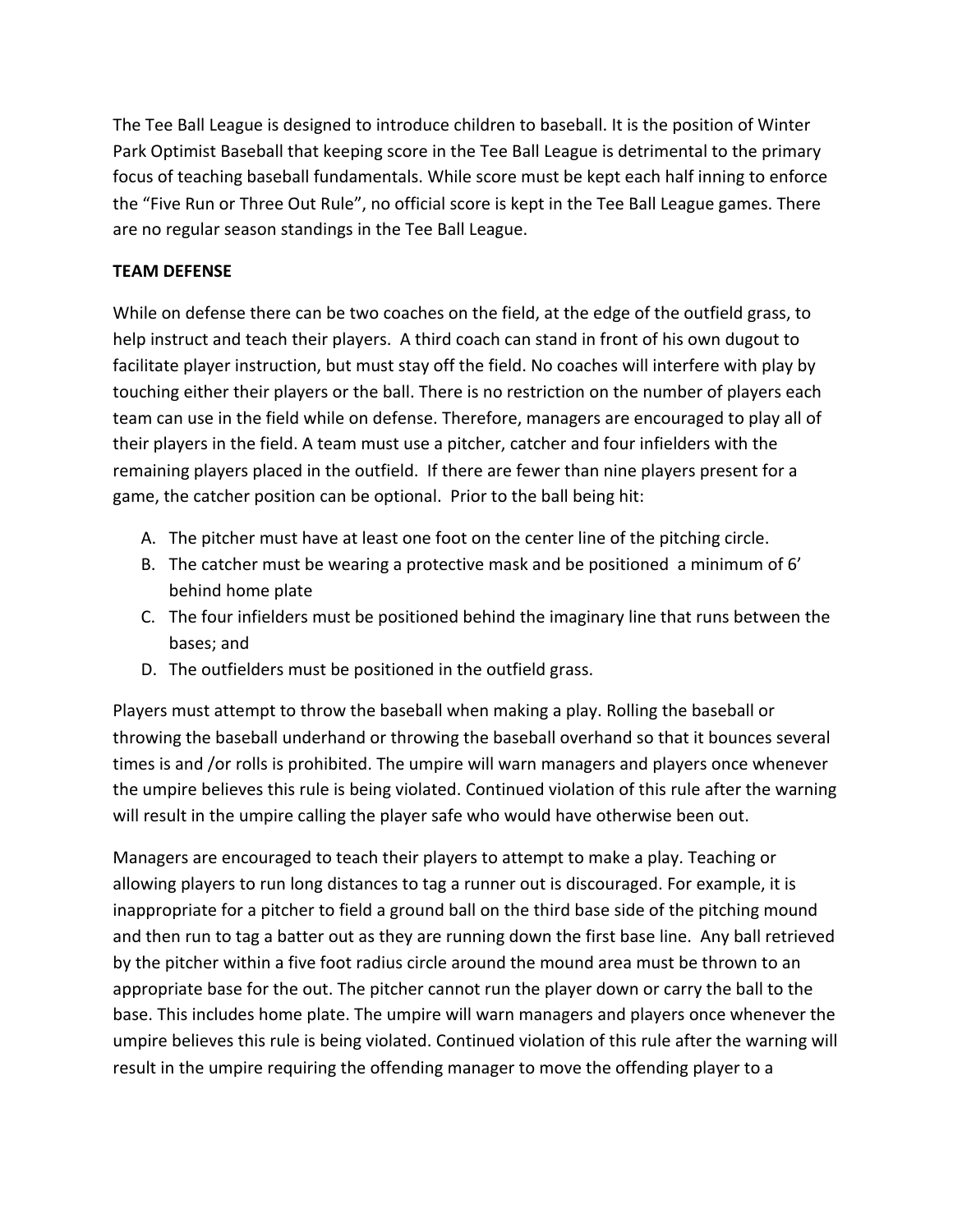The Tee Ball League is designed to introduce children to baseball. It is the position of Winter Park Optimist Baseball that keeping score in the Tee Ball League is detrimental to the primary focus of teaching baseball fundamentals. While score must be kept each half inning to enforce the "Five Run or Three Out Rule", no official score is kept in the Tee Ball League games. There are no regular season standings in the Tee Ball League.

## **TEAM DEFENSE**

While on defense there can be two coaches on the field, at the edge of the outfield grass, to help instruct and teach their players. A third coach can stand in front of his own dugout to facilitate player instruction, but must stay off the field. No coaches will interfere with play by touching either their players or the ball. There is no restriction on the number of players each team can use in the field while on defense. Therefore, managers are encouraged to play all of their players in the field. A team must use a pitcher, catcher and four infielders with the remaining players placed in the outfield. If there are fewer than nine players present for a game, the catcher position can be optional. Prior to the ball being hit:

- A. The pitcher must have at least one foot on the center line of the pitching circle.
- B. The catcher must be wearing a protective mask and be positioned a minimum of 6' behind home plate
- C. The four infielders must be positioned behind the imaginary line that runs between the bases; and
- D. The outfielders must be positioned in the outfield grass.

Players must attempt to throw the baseball when making a play. Rolling the baseball or throwing the baseball underhand or throwing the baseball overhand so that it bounces several times is and /or rolls is prohibited. The umpire will warn managers and players once whenever the umpire believes this rule is being violated. Continued violation of this rule after the warning will result in the umpire calling the player safe who would have otherwise been out.

Managers are encouraged to teach their players to attempt to make a play. Teaching or allowing players to run long distances to tag a runner out is discouraged. For example, it is inappropriate for a pitcher to field a ground ball on the third base side of the pitching mound and then run to tag a batter out as they are running down the first base line. Any ball retrieved by the pitcher within a five foot radius circle around the mound area must be thrown to an appropriate base for the out. The pitcher cannot run the player down or carry the ball to the base. This includes home plate. The umpire will warn managers and players once whenever the umpire believes this rule is being violated. Continued violation of this rule after the warning will result in the umpire requiring the offending manager to move the offending player to a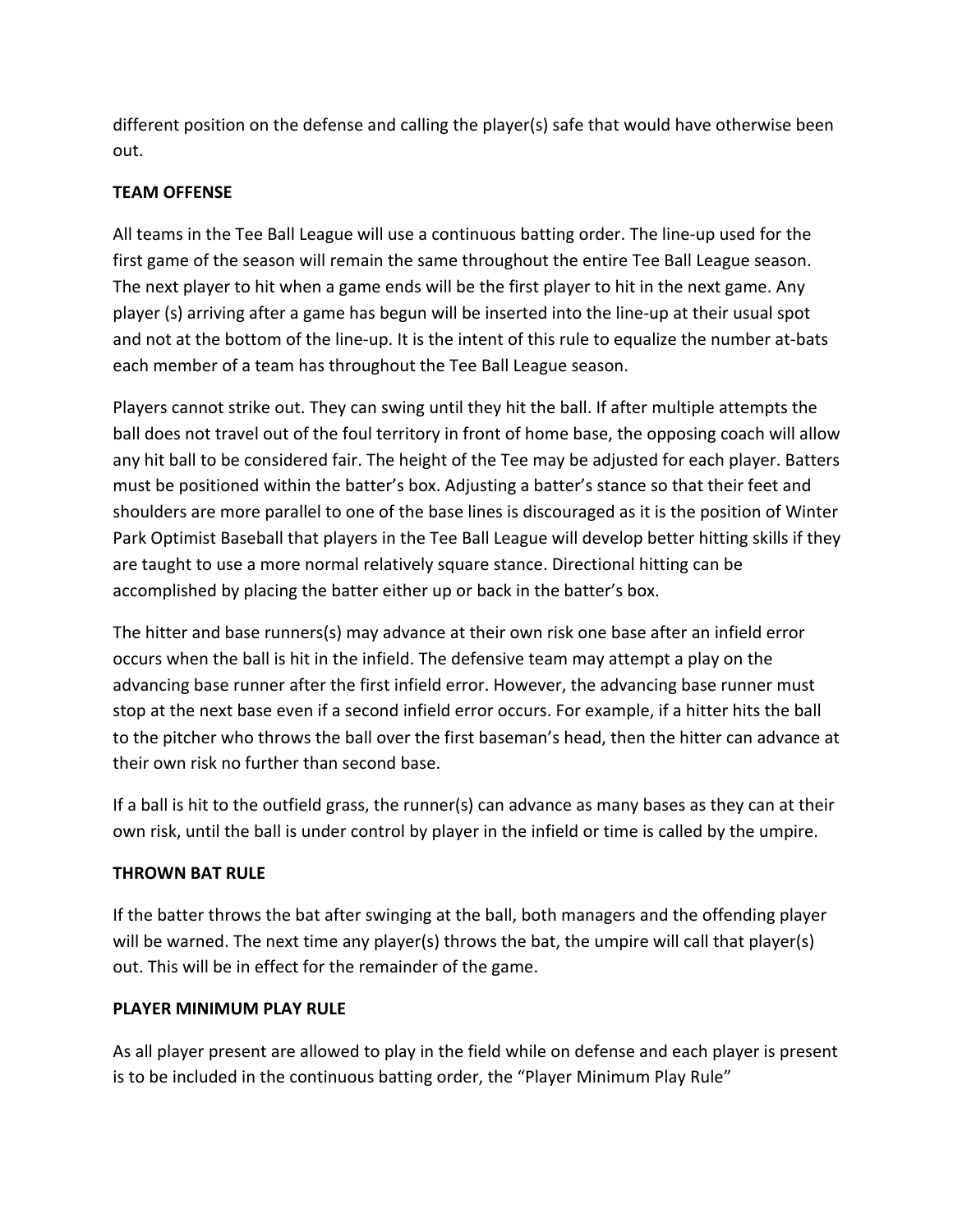different position on the defense and calling the player(s) safe that would have otherwise been out. 

# **TEAM OFFENSE**

All teams in the Tee Ball League will use a continuous batting order. The line-up used for the first game of the season will remain the same throughout the entire Tee Ball League season. The next player to hit when a game ends will be the first player to hit in the next game. Any player (s) arriving after a game has begun will be inserted into the line-up at their usual spot and not at the bottom of the line-up. It is the intent of this rule to equalize the number at-bats each member of a team has throughout the Tee Ball League season.

Players cannot strike out. They can swing until they hit the ball. If after multiple attempts the ball does not travel out of the foul territory in front of home base, the opposing coach will allow any hit ball to be considered fair. The height of the Tee may be adjusted for each player. Batters must be positioned within the batter's box. Adjusting a batter's stance so that their feet and shoulders are more parallel to one of the base lines is discouraged as it is the position of Winter Park Optimist Baseball that players in the Tee Ball League will develop better hitting skills if they are taught to use a more normal relatively square stance. Directional hitting can be accomplished by placing the batter either up or back in the batter's box.

The hitter and base runners(s) may advance at their own risk one base after an infield error occurs when the ball is hit in the infield. The defensive team may attempt a play on the advancing base runner after the first infield error. However, the advancing base runner must stop at the next base even if a second infield error occurs. For example, if a hitter hits the ball to the pitcher who throws the ball over the first baseman's head, then the hitter can advance at their own risk no further than second base.

If a ball is hit to the outfield grass, the runner(s) can advance as many bases as they can at their own risk, until the ball is under control by player in the infield or time is called by the umpire.

# **THROWN BAT RULE**

If the batter throws the bat after swinging at the ball, both managers and the offending player will be warned. The next time any player(s) throws the bat, the umpire will call that player(s) out. This will be in effect for the remainder of the game.

## **PLAYER MINIMUM PLAY RULE**

As all player present are allowed to play in the field while on defense and each player is present is to be included in the continuous batting order, the "Player Minimum Play Rule"